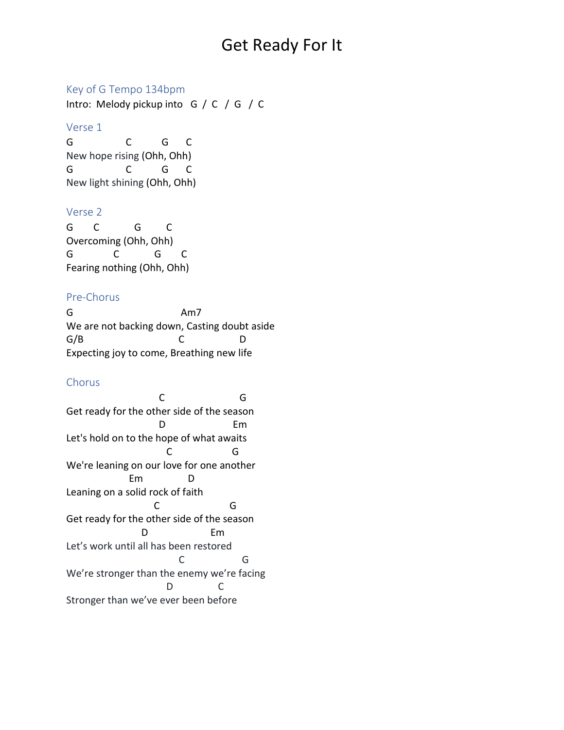# Get Ready For It

### Key of G Tempo 134bpm

Intro: Melody pickup into G / C / G / C

#### Verse 1

G C G C New hope rising (Ohh, Ohh) G C G C New light shining (Ohh, Ohh)

### Verse 2

G C G C Overcoming (Ohh, Ohh) G C G C Fearing nothing (Ohh, Ohh)

# Pre-Chorus

G Am7 We are not backing down, Casting doubt aside G/B C D Expecting joy to come, Breathing new life

# Chorus

 C G Get ready for the other side of the season D Em Let's hold on to the hope of what awaits C G We're leaning on our love for one another Em D Leaning on a solid rock of faith C G Get ready for the other side of the season D Em Let's work until all has been restored C G We're stronger than the enemy we're facing D C Stronger than we've ever been before